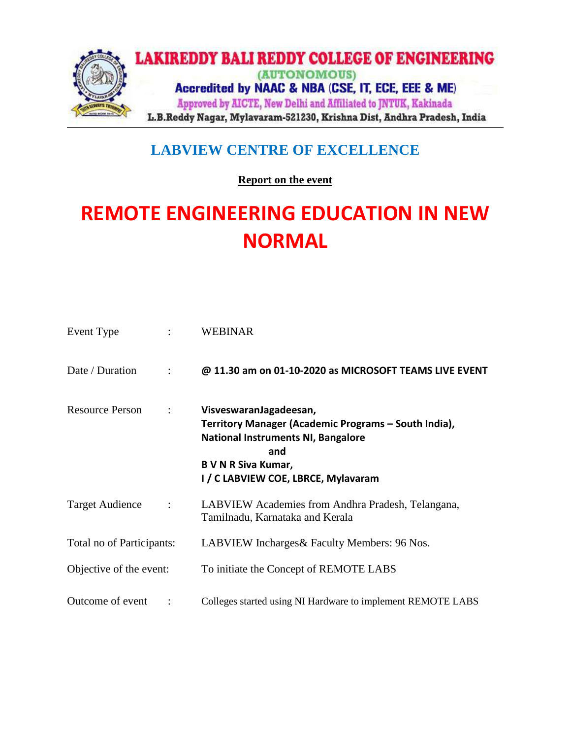

## **LABVIEW CENTRE OF EXCELLENCE**

**Report on the event** 

## **REMOTE ENGINEERING EDUCATION IN NEW NORMAL**

| Event Type                |                | <b>WEBINAR</b>                                                                                                                                                                                          |  |  |  |
|---------------------------|----------------|---------------------------------------------------------------------------------------------------------------------------------------------------------------------------------------------------------|--|--|--|
| Date / Duration           |                | @ 11.30 am on 01-10-2020 as MICROSOFT TEAMS LIVE EVENT                                                                                                                                                  |  |  |  |
| <b>Resource Person</b>    | $\ddot{\cdot}$ | VisveswaranJagadeesan,<br>Territory Manager (Academic Programs - South India),<br><b>National Instruments NI, Bangalore</b><br>and<br><b>B V N R Siva Kumar,</b><br>I / C LABVIEW COE, LBRCE, Mylavaram |  |  |  |
| <b>Target Audience</b>    | $\ddot{\cdot}$ | LABVIEW Academies from Andhra Pradesh, Telangana,<br>Tamilnadu, Karnataka and Kerala                                                                                                                    |  |  |  |
| Total no of Participants: |                | LABVIEW Incharges & Faculty Members: 96 Nos.                                                                                                                                                            |  |  |  |
| Objective of the event:   |                | To initiate the Concept of REMOTE LABS                                                                                                                                                                  |  |  |  |
| Outcome of event          |                | Colleges started using NI Hardware to implement REMOTE LABS                                                                                                                                             |  |  |  |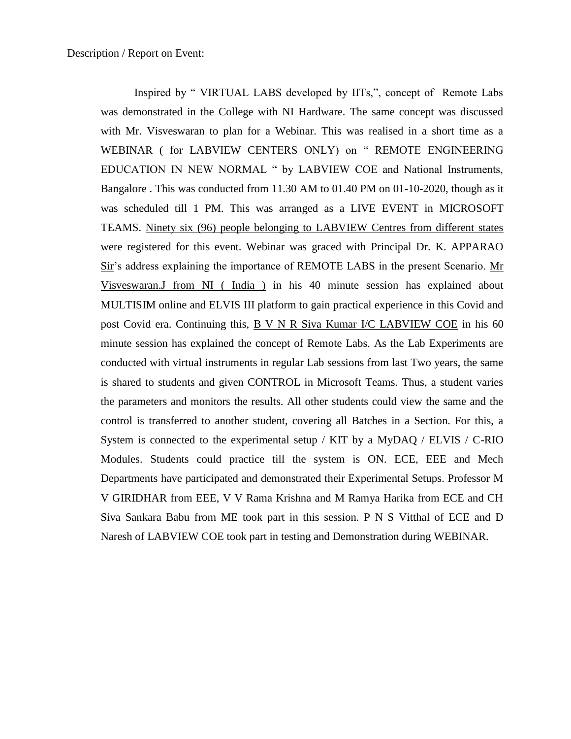Inspired by " VIRTUAL LABS developed by IITs,", concept of Remote Labs was demonstrated in the College with NI Hardware. The same concept was discussed with Mr. Visveswaran to plan for a Webinar. This was realised in a short time as a WEBINAR ( for LABVIEW CENTERS ONLY) on " REMOTE ENGINEERING EDUCATION IN NEW NORMAL " by LABVIEW COE and National Instruments, Bangalore . This was conducted from 11.30 AM to 01.40 PM on 01-10-2020, though as it was scheduled till 1 PM. This was arranged as a LIVE EVENT in MICROSOFT TEAMS. Ninety six (96) people belonging to LABVIEW Centres from different states were registered for this event. Webinar was graced with Principal Dr. K. APPARAO Sir's address explaining the importance of REMOTE LABS in the present Scenario. Mr Visveswaran.J from NI ( India ) in his 40 minute session has explained about MULTISIM online and ELVIS III platform to gain practical experience in this Covid and post Covid era. Continuing this, B V N R Siva Kumar I/C LABVIEW COE in his 60 minute session has explained the concept of Remote Labs. As the Lab Experiments are conducted with virtual instruments in regular Lab sessions from last Two years, the same is shared to students and given CONTROL in Microsoft Teams. Thus, a student varies the parameters and monitors the results. All other students could view the same and the control is transferred to another student, covering all Batches in a Section. For this, a System is connected to the experimental setup / KIT by a MyDAQ / ELVIS / C-RIO Modules. Students could practice till the system is ON. ECE, EEE and Mech Departments have participated and demonstrated their Experimental Setups. Professor M V GIRIDHAR from EEE, V V Rama Krishna and M Ramya Harika from ECE and CH Siva Sankara Babu from ME took part in this session. P N S Vitthal of ECE and D Naresh of LABVIEW COE took part in testing and Demonstration during WEBINAR.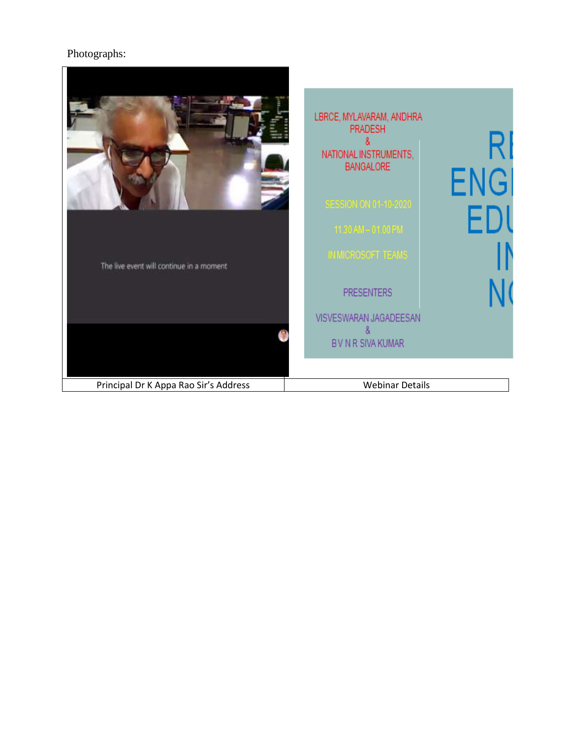## Photographs:

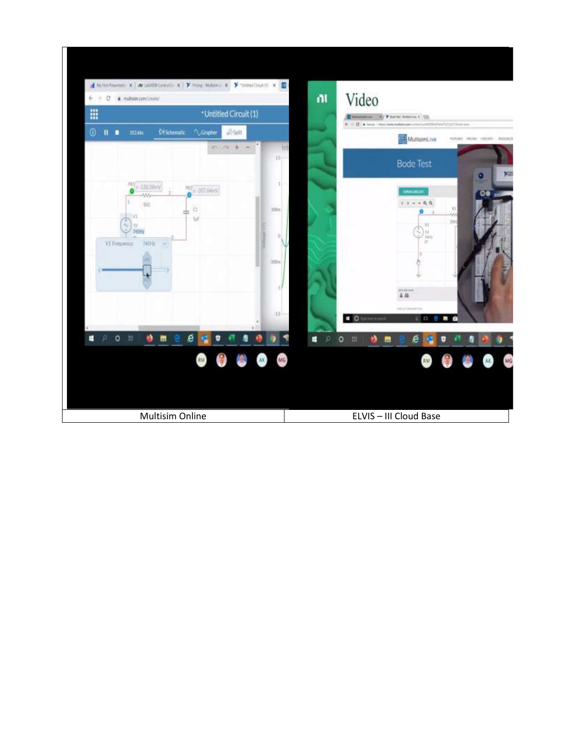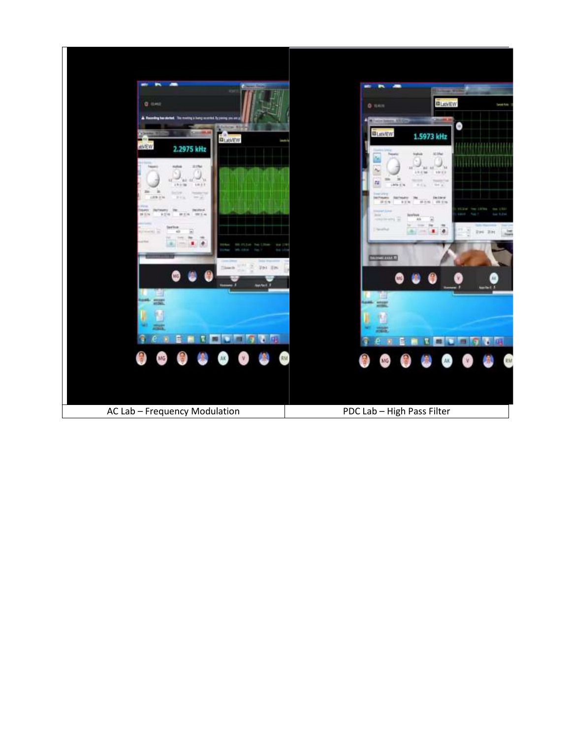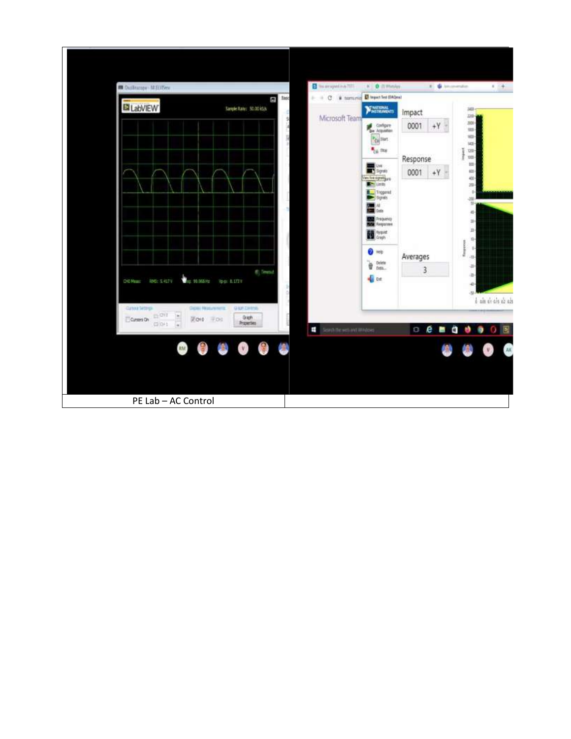| <b>B</b> Outlincopy M.EUDny                                                                |                                                                                      | This progress in 1977<br>- - C * tornung @ transfer that the con- | <b>K</b> 0 llimour                                                                                                     | E. & Incentive           | $8 +$                                                            |
|--------------------------------------------------------------------------------------------|--------------------------------------------------------------------------------------|-------------------------------------------------------------------|------------------------------------------------------------------------------------------------------------------------|--------------------------|------------------------------------------------------------------|
| LabVIEW                                                                                    | σ<br>Sample Rate: 30.00 kS/s                                                         | 3ac<br>Microsoft Team<br>\$                                       | <b>SEARTONAL</b><br>Corbare<br><sup>P</sup> Ce Stort                                                                   | impact<br>0001<br>$+Y$   | $3400 -$<br>1300-<br>3000<br>$100 -$<br>$100 -$                  |
|                                                                                            |                                                                                      |                                                                   | <sup>4</sup> <sub>ca</sub> may<br>最 <sub>Syste</sub><br>Yes live signed are<br><b>Strategie</b>                        | Response<br>0001<br>$+Y$ | 1400-<br>ī<br>$100 -$<br>Ì<br>$1000 -$<br>100<br>嵷<br>403<br>300 |
|                                                                                            |                                                                                      |                                                                   | Triggered<br>Synals<br>$\blacksquare$<br><b>No.0</b><br><b>De Fréquency</b><br><b>Royal Responses</b><br><b>II</b> was |                          | 3<br>$-300 -$<br>$30 -$<br>础<br>zi-<br>距<br>卧                    |
| <b>THE RUSSER</b><br><b>IMS: 3.417V</b><br>Did Meast                                       | 6. Teend<br><b>Ypd: 0.17211</b>                                                      |                                                                   | $0 + 1$<br>ď<br>Delete<br>Data.<br><b>SE EXT</b>                                                                       | Averages<br>3            | ¥,<br>4<br>$30 -$<br>-28<br>净<br>$-41$<br>$-18$                  |
| Curious Settings<br><b>ELOY</b><br>$\frac{\epsilon}{\epsilon}$<br>Current On<br>(2) (34.1) | <b>CIESEI MISSURINITY</b><br><b>G IOF CIRCOL</b><br>Gigh<br>团010 平 011<br>Properties | Send the web and Windows                                          |                                                                                                                        | $O$ $e$ $n$ $q$          | $b$ ais de cio de cis<br>ø<br>圆<br>$\bullet$<br>$\Omega$         |
| <b>RM</b>                                                                                  | 蘭<br>$\mathbf{v}$<br>曲                                                               | 6                                                                 |                                                                                                                        |                          | AK<br>V.                                                         |